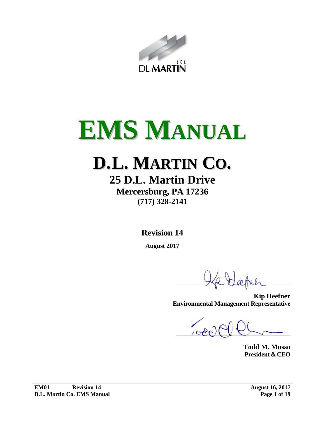

# **EMS MANUAL**

# **D.L. MARTIN CO.**

# **25 D.L. Martin Drive Mercersburg, PA 17236**

**(717) 328-2141**

**Revision 14**

**August 2017**

 $X$   $X$   $X$   $\omega$  then

**Kip Heefner Environmental Management Representative**

 $\sim$ 

**Todd M. Musso President &CEO**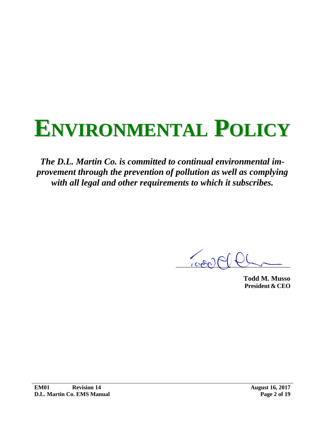# **ENVIRONMENTAL POLICY**

*The D.L. Martin Co. is committed to continual environmental improvement through the prevention of pollution as well as complying with all legal and other requirements to which it subscribes.*

 $100 - 2$ 

**Todd M. Musso President &CEO**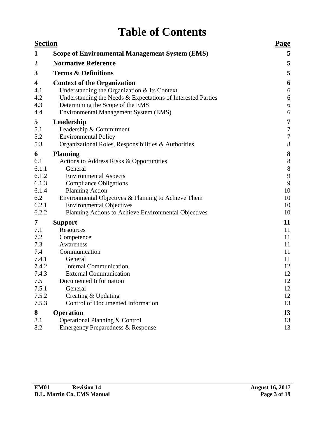# **Table of Contents**

| <b>Section</b>   | <b>Page</b>                                                  |                |
|------------------|--------------------------------------------------------------|----------------|
| 1                | <b>Scope of Environmental Management System (EMS)</b>        | 5              |
| $\boldsymbol{2}$ | <b>Normative Reference</b>                                   | 5              |
| 3                | <b>Terms &amp; Definitions</b>                               | 5              |
| 4                | <b>Context of the Organization</b>                           | 6              |
| 4.1              | Understanding the Organization & Its Context                 | 6              |
| 4.2              | Understanding the Needs & Expectations of Interested Parties | 6              |
| 4.3              | Determining the Scope of the EMS                             | 6              |
| 4.4              | Environmental Management System (EMS)                        | 6              |
| 5                | Leadership                                                   | 7              |
| 5.1              | Leadership & Commitment                                      | $\overline{7}$ |
| 5.2              | <b>Environmental Policy</b>                                  | $\overline{7}$ |
| 5.3              | Organizational Roles, Responsibilities & Authorities         | 8              |
| 6                | <b>Planning</b>                                              | 8              |
| 6.1              | Actions to Address Risks & Opportunities                     | 8              |
| 6.1.1            | General                                                      | 8              |
| 6.1.2            | <b>Environmental Aspects</b>                                 | 9              |
| 6.1.3            | <b>Compliance Obligations</b>                                | 9              |
| 6.1.4            | <b>Planning Action</b>                                       | 10             |
| 6.2              | Environmental Objectives & Planning to Achieve Them          | 10             |
| 6.2.1            | <b>Environmental Objectives</b>                              | 10             |
| 6.2.2            | Planning Actions to Achieve Environmental Objectives         | 10             |
| 7                | <b>Support</b>                                               | 11             |
| 7.1              | Resources                                                    | 11             |
| 7.2              | Competence                                                   | 11             |
| 7.3              | Awareness                                                    | 11             |
| 7.4              | Communication                                                | 11             |
| 7.4.1            | General                                                      | 11             |
| 7.4.2            | <b>Internal Communication</b>                                | 12             |
| 7.4.3            | <b>External Communication</b>                                | 12             |
| 7.5              | Documented Information                                       | 12             |
| 7.5.1            | General                                                      | 12             |
| 7.5.2            | Creating & Updating                                          | 12             |
| 7.5.3            | Control of Documented Information                            | 13             |
| 8                | <b>Operation</b>                                             | 13             |
| 8.1              | Operational Planning & Control                               | 13             |
| 8.2              | <b>Emergency Preparedness &amp; Response</b>                 | 13             |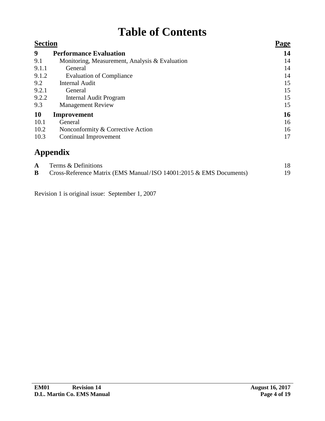# **Table of Contents**

| <b>Section</b> |                                                | <b>Page</b> |  |  |
|----------------|------------------------------------------------|-------------|--|--|
| 9              | <b>Performance Evaluation</b>                  | 14          |  |  |
| 9.1            | Monitoring, Measurement, Analysis & Evaluation | 14          |  |  |
| 9.1.1          | General                                        | 14          |  |  |
| 9.1.2          | <b>Evaluation of Compliance</b>                | 14          |  |  |
| 9.2            | <b>Internal Audit</b>                          | 15          |  |  |
| 9.2.1          | General                                        | 15          |  |  |
| 9.2.2          | Internal Audit Program                         | 15          |  |  |
| 9.3            | <b>Management Review</b>                       | 15          |  |  |
| 10             | Improvement                                    | 16          |  |  |
| 10.1           | General                                        | 16          |  |  |
| 10.2           | Nonconformity & Corrective Action              | 16          |  |  |
| 10.3           | Continual Improvement                          | 17          |  |  |
|                |                                                |             |  |  |

|    | Terms & Definitions                                                |    |
|----|--------------------------------------------------------------------|----|
| B. | Cross-Reference Matrix (EMS Manual/ISO 14001:2015 & EMS Documents) | 19 |

Revision 1 is original issue: September 1, 2007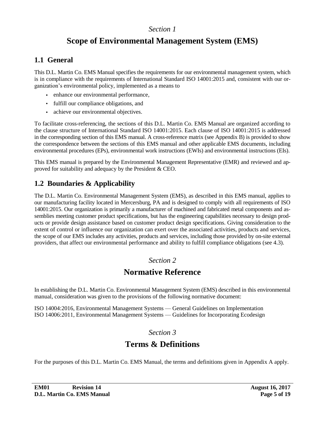# **Scope of Environmental Management System (EMS)**

## <span id="page-4-0"></span>**1.1 General**

This D.L. Martin Co. EMS Manual specifies the requirements for our environmental management system, which is in compliance with the requirements of International Standard ISO 14001:2015 and, consistent with our organization's environmental policy, implemented as a means to

- enhance our environmental performance,
- fulfill our compliance obligations, and
- achieve our environmental objectives.

To facilitate cross-referencing, the sections of this D.L. Martin Co. EMS Manual are organized according to the clause structure of International Standard ISO 14001:2015. Each clause of ISO 14001:2015 is addressed in the corresponding section of this EMS manual. A cross-reference matrix [\(see Appendix B\)](#page-18-0) is provided to show the correspondence between the sections of this EMS manual and other applicable EMS documents, including environmental procedures (EPs), environmental work instructions (EWIs) and environmental instructions (EIs).

This EMS manual is prepared by the Environmental Management Representative (EMR) and reviewed and approved for suitability and adequacy by the President & CEO.

# **1.2 Boundaries & Applicability**

The D.L. Martin Co. Environmental Management System (EMS), as described in this EMS manual, applies to our manufacturing facility located in Mercersburg, PA and is designed to comply with all requirements of ISO 14001:2015. Our organization is primarily a manufacturer of machined and fabricated metal components and assemblies meeting customer product specifications, but has the engineering capabilities necessary to design products or provide design assistance based on customer product design specifications. Giving consideration to the extent of control or influence our organization can exert over the associated activities, products and services, the scope of our EMS includes any activities, products and services, including those provided by on-site external providers, that affect our environmental performance and ability to fulfill compliance obligations [\(see](#page-5-0) 4.3).

#### *Section 2*

# **Normative Reference**

In establishing the D.L. Martin Co. Environmental Management System (EMS) described in this environmental manual, consideration was given to the provisions of the following normative document:

ISO 14004:2016, Environmental Management Systems — General Guidelines on Implementation ISO 14006:2011, Environmental Management Systems — Guidelines for Incorporating Ecodesign

#### *Section 3*

# **Terms & Definitions**

For the purposes of this D.L. Martin Co. EMS Manual, the terms and definitions given in [Appendix A](#page-17-0) apply.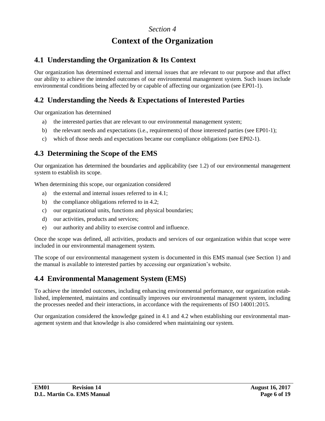# **Context of the Organization**

#### <span id="page-5-0"></span>**4.1 Understanding the Organization & Its Context**

Our organization has determined external and internal issues that are relevant to our purpose and that affect our ability to achieve the intended outcomes of our environmental management system. Such issues include environmental conditions being affected by or capable of affecting our organization (see EP01-1).

## **4.2 Understanding the Needs & Expectations of Interested Parties**

Our organization has determined

- a) the interested parties that are relevant to our environmental management system;
- b) the relevant needs and expectations (i.e., requirements) of those interested parties (see EP01-1);
- c) which of those needs and expectations became our compliance obligations (see EP02-1).

#### **4.3 Determining the Scope of the EMS**

Our organization has determined the boundaries and applicability [\(see 1.2\)](#page-4-0) of our environmental management system to establish its scope.

When determining this scope, our organization considered

- a) the external and internal issues referred to in 4.1;
- b) the compliance obligations referred to in 4.2;
- c) our organizational units, functions and physical boundaries;
- d) our activities, products and services;
- e) our authority and ability to exercise control and influence.

Once the scope was defined, all activities, products and services of our organization within that scope were included in our environmental management system.

The scope of our environmental management system is documented in this EMS manual [\(see Section 1\)](#page-4-0) and the manual is available to interested parties by accessing our organization's website.

## **4.4 Environmental Management System (EMS)**

To achieve the intended outcomes, including enhancing environmental performance, our organization established, implemented, maintains and continually improves our environmental management system, including the processes needed and their interactions, in accordance with the requirements of ISO 14001:2015.

Our organization considered the knowledge gained in 4.1 and 4.2 when establishing our environmental management system and that knowledge is also considered when maintaining our system.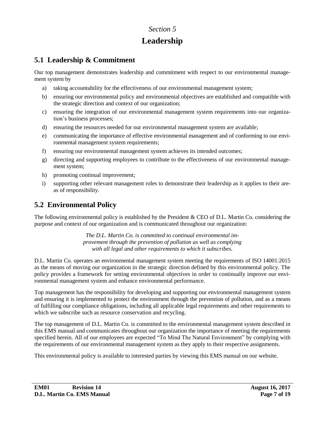# **Leadership**

### <span id="page-6-0"></span>**5.1 Leadership & Commitment**

Our top management demonstrates leadership and commitment with respect to our environmental management system by

- a) taking accountability for the effectiveness of our environmental management system;
- b) ensuring our environmental policy and environmental objectives are established and compatible with the strategic direction and context of our organization;
- c) ensuring the integration of our environmental management system requirements into our organization's business processes;
- d) ensuring the resources needed for our environmental management system are available;
- e) communicating the importance of effective environmental management and of conforming to our environmental management system requirements;
- f) ensuring our environmental management system achieves its intended outcomes;
- g) directing and supporting employees to contribute to the effectiveness of our environmental management system;
- h) promoting continual improvement;
- i) supporting other relevant management roles to demonstrate their leadership as it applies to their areas of responsibility.

# **5.2 Environmental Policy**

The following environmental policy is established by the President & CEO of D.L. Martin Co. considering the purpose and context of our organization and is communicated throughout our organization:

> *The D.L. Martin Co. is committed to continual environmental improvement through the prevention of pollution as well as complying with all legal and other requirements to which it subscribes.*

D.L. Martin Co. operates an environmental management system meeting the requirements of ISO 14001:2015 as the means of moving our organization in the strategic direction defined by this environmental policy. The policy provides a framework for setting environmental objectives in order to continually improve our environmental management system and enhance environmental performance.

Top management has the responsibility for developing and supporting our environmental management system and ensuring it is implemented to protect the environment through the prevention of pollution, and as a means of fulfilling our compliance obligations, including all applicable legal requirements and other requirements to which we subscribe such as resource conservation and recycling.

The top management of D.L. Martin Co. is committed to the environmental management system described in this EMS manual and communicates throughout our organization the importance of meeting the requirements specified herein. All of our employees are expected "To Mind The Natural Environment" by complying with the requirements of our environmental management system as they apply to their respective assignments.

This environmental policy is available to interested parties by viewing this EMS manual on our website.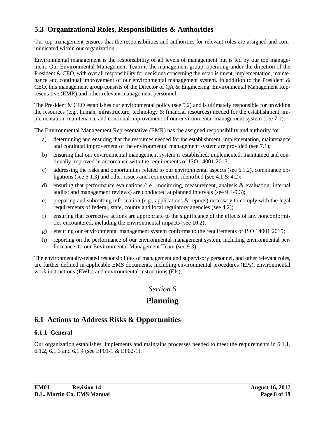#### <span id="page-7-0"></span>**5.3 Organizational Roles, Responsibilities & Authorities**

Our top management ensures that the responsibilities and authorities for relevant roles are assigned and communicated within our organization.

Environmental management is the responsibility of all levels of management but is led by our top management. Our Environmental Management Team is the management group, operating under the direction of the President & CEO, with overall responsibility for decisions concerning the establishment, implementation, maintenance and continual improvement of our environmental management system. In addition to the President & CEO, this management group consists of the Director of QA & Engineering, Environmental Management Representative (EMR) and other relevant management personnel.

The President & CEO establishes our environmental policy [\(see 5.2\)](#page-6-0) and is ultimately responsible for providing the resources (e.g., human, infrastructure, technology & financial resources) needed for the establishment, implementation, maintenance and continual improvement of our environmental management system [\(see 7.1\)](#page-10-0).

The Environmental Management Representative (EMR) has the assigned responsibility and authority for

- a) determining and ensuring that the resources needed for the establishment, implementation, maintenance and continual improvement of the environmental management system are provided [\(see 7.1\)](#page-10-0);
- b) ensuring that our environmental management system is established, implemented, maintained and continually improved in accordance with the requirements of ISO 14001:2015;
- c) addressing the risks and opportunities related to our environmental aspects [\(see 6.1.2\),](#page-8-0) compliance ob-ligations [\(see 6.1.3\)](#page-8-0) and other issues and requirements identified (see [4.1](#page-5-0)  $\&$  [4.2\)](#page-5-0);
- d) ensuring that performance evaluations (i.e., monitoring, measurement, analysis & evaluation; internal audits; and management reviews) are conducted at planned intervals [\(see 9.1-9.3\)](#page-13-0);
- e) preparing and submitting information (e.g., applications & reports) necessary to comply with the legal requirements of federal, state, county and local regulatory agencies [\(see 4.2\);](#page-5-0)
- f) ensuring that corrective actions are appropriate to the significance of the effects of any nonconformities encountered, including the environmental impacts [\(see 10.2\)](#page-15-0);
- g) ensuring our environmental management system conforms to the requirements of ISO 14001:2015;
- h) reporting on the performance of our environmental management system, including environmental performance, to our Environmental Management Team [\(see 9.3\).](#page-14-0)

The environmentally-related responsibilities of management and supervisory personnel, and other relevant roles, are further defined in applicable EMS documents, including environmental procedures (EPs), environmental work instructions (EWIs) and environmental instructions (EIs).

*Section 6*

# **Planning**

## **6.1 Actions to Address Risks & Opportunities**

#### **6.1.1 General**

Our organization establishes, implements and maintains processes needed to meet the requirements in 6.1.1, [6.1.2, 6.1.3](#page-8-0) and [6.1.4](#page-9-0) (see EP01-1 & EP02-1).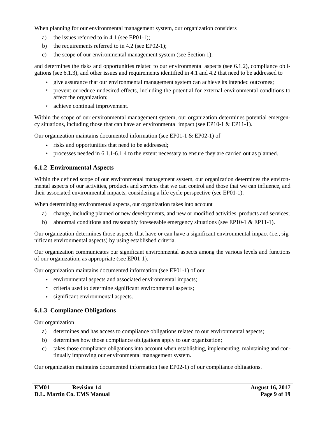<span id="page-8-0"></span>When planning for our environmental management system, our organization considers

- a) the issues referred to in [4.1](#page-5-0) (see EP01-1);
- b) the requirements referred to in [4.2](#page-5-0) (see EP02-1);
- c) the scope of our environmental management system [\(see Section 1\)](#page-4-0);

and determines the risks and opportunities related to our environmental aspects (see 6.1.2), compliance obligations (see 6.1.3), and other issues and requirements identified in [4.1](#page-5-0) and [4.2](#page-5-0) that need to be addressed to

- give assurance that our environmental management system can achieve its intended outcomes;
- prevent or reduce undesired effects, including the potential for external environmental conditions to affect the organization;
- achieve continual improvement.

Within the scope of our environmental management system, our organization determines potential emergency situations, including those that can have an environmental impact (see EP10-1 & EP11-1).

Our organization maintains documented information (see EP01-1 & EP02-1) of

- risks and opportunities that need to be addressed;
- processes needed in [6.1.1-6.1.4](#page-7-0) to the extent necessary to ensure they are carried out as planned.

#### **6.1.2 Environmental Aspects**

Within the defined scope of our environmental management system, our organization determines the environmental aspects of our activities, products and services that we can control and those that we can influence, and their associated environmental impacts, considering a life cycle perspective (see EP01-1).

When determining environmental aspects, our organization takes into account

- a) change, including planned or new developments, and new or modified activities, products and services;
- b) abnormal conditions and reasonably foreseeable emergency situations (see EP10-1 & EP11-1).

Our organization determines those aspects that have or can have a significant environmental impact (i.e., significant environmental aspects) by using established criteria.

Our organization communicates our significant environmental aspects among the various levels and functions of our organization, as appropriate (see EP01-1).

Our organization maintains documented information (see EP01-1) of our

- environmental aspects and associated environmental impacts;
- criteria used to determine significant environmental aspects;
- significant environmental aspects.

#### **6.1.3 Compliance Obligations**

Our organization

- a) determines and has access to compliance obligations related to our environmental aspects;
- b) determines how those compliance obligations apply to our organization;
- c) takes those compliance obligations into account when establishing, implementing, maintaining and continually improving our environmental management system.

Our organization maintains documented information (see EP02-1) of our compliance obligations.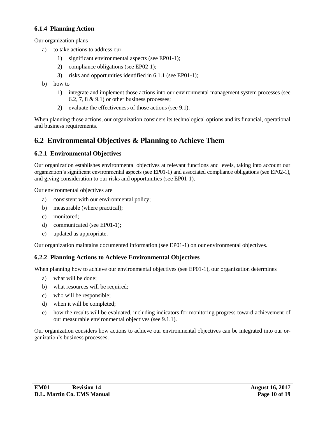#### <span id="page-9-0"></span>**6.1.4 Planning Action**

Our organization plans

- a) to take actions to address our
	- 1) significant environmental aspects (see EP01-1);
	- 2) compliance obligations (see EP02-1);
	- 3) risks and opportunities identified in [6.1.1](#page-7-0) (see EP01-1);
- b) how to
	- 1) integrate and implement those actions into our environmental management system processes (see 6.2, [7,](#page-10-0) [8](#page-12-0)  $\&$  [9.1](#page-13-0)) or other business processes;
	- 2) evaluate the effectiveness of those actions [\(see 9.1\)](#page-13-0).

When planning those actions, our organization considers its technological options and its financial, operational and business requirements.

#### **6.2 Environmental Objectives & Planning to Achieve Them**

#### **6.2.1 Environmental Objectives**

Our organization establishes environmental objectives at relevant functions and levels, taking into account our organization's significant environmental aspects (see EP01-1) and associated compliance obligations (see EP02-1), and giving consideration to our risks and opportunities (see EP01-1).

Our environmental objectives are

- a) consistent with our environmental policy;
- b) measurable (where practical);
- c) monitored;
- d) communicated (see EP01-1);
- e) updated as appropriate.

Our organization maintains documented information (see EP01-1) on our environmental objectives.

#### **6.2.2 Planning Actions to Achieve Environmental Objectives**

When planning how to achieve our environmental objectives (see EP01-1), our organization determines

- a) what will be done;
- b) what resources will be required;
- c) who will be responsible;
- d) when it will be completed;
- e) how the results will be evaluated, including indicators for monitoring progress toward achievement of our measurable environmental objectives [\(see 9.1.1\).](#page-13-0)

Our organization considers how actions to achieve our environmental objectives can be integrated into our organization's business processes.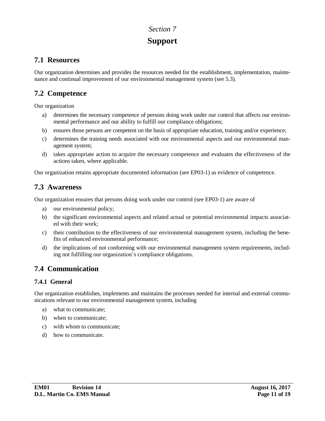# **Support**

#### <span id="page-10-0"></span>**7.1 Resources**

Our organization determines and provides the resources needed for the establishment, implementation, maintenance and continual improvement of our environmental management system [\(see 5.3\).](#page-7-0)

#### **7.2 Competence**

Our organization

- determines the necessary competence of persons doing work under our control that affects our environmental performance and our ability to fulfill our compliance obligations;
- b) ensures those persons are competent on the basis of appropriate education, training and/or experience;
- c) determines the training needs associated with our environmental aspects and our environmental management system;
- d) takes appropriate action to acquire the necessary competence and evaluates the effectiveness of the actions taken, where applicable.

Our organization retains appropriate documented information (see EP03-1) as evidence of competence.

#### **7.3 Awareness**

Our organization ensures that persons doing work under our control (see EP03-1) are aware of

- a) our environmental policy;
- b) the significant environmental aspects and related actual or potential environmental impacts associated with their work;
- c) their contribution to the effectiveness of our environmental management system, including the benefits of enhanced environmental performance;
- d) the implications of not conforming with our environmental management system requirements, including not fulfilling our organization's compliance obligations.

## **7.4 Communication**

#### **7.4.1 General**

Our organization establishes, implements and maintains the processes needed for internal and external communications relevant to our environmental management system, including

- a) what to communicate;
- b) when to communicate;
- c) with whom to communicate;
- d) how to communicate.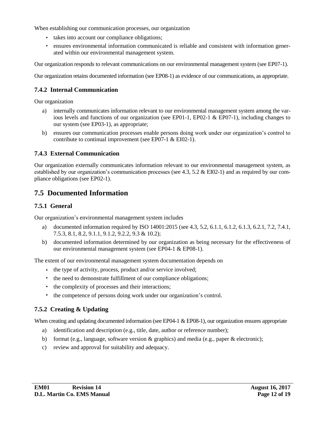<span id="page-11-0"></span>When establishing our communication processes, our organization

- takes into account our compliance obligations;
- ensures environmental information communicated is reliable and consistent with information generated within our environmental management system.

Our organization responds to relevant communications on our environmental management system (see EP07-1).

Our organization retains documented information (see EP08-1) as evidence of our communications, as appropriate.

#### **7.4.2 Internal Communication**

Our organization

- a) internally communicates information relevant to our environmental management system among the various levels and functions of our organization (see EP01-1, EP02-1 & EP07-1), including changes to our system (see EP03-1), as appropriate;
- b) ensures our communication processes enable persons doing work under our organization's control to contribute to continual improvement (see EP07-1 & EI02-1).

#### **7.4.3 External Communication**

Our organization externally communicates information relevant to our environmental management system, as established by our organization's communication processes (see [4.3,](#page-5-0) [5.2](#page-6-0)  $\&$  EI02-1) and as required by our compliance obligations (see EP02-1).

#### **7.5 Documented Information**

#### **7.5.1 General**

Our organization's environmental management system includes

- a) documented information required by ISO 14001:2015 (see [4.3,](#page-5-0) [5.2,](#page-6-0) [6.1.1](#page-7-0), [6.1.2, 6.1.3,](#page-8-0) [6.2.1](#page-9-0), [7.2,](#page-10-0) [7.4.1](#page-10-0), [7.5.3,](#page-12-0) [8.1, 8.2,](#page-12-0) [9.1.1, 9.1.2](#page-13-0), [9.2.2, 9.3](#page-14-0) & [10.2\)](#page-15-0);
- b) documented information determined by our organization as being necessary for the effectiveness of our environmental management system (see EP04-1 & EP08-1).

The extent of our environmental management system documentation depends on

- the type of activity, process, product and/or service involved;
- the need to demonstrate fulfillment of our compliance obligations;
- the complexity of processes and their interactions;
- the competence of persons doing work under our organization's control.

#### **7.5.2 Creating & Updating**

When creating and updating documented information (see EP04-1 & EP08-1), our organization ensures appropriate

- a) identification and description (e.g., title, date, author or reference number);
- b) format (e.g., language, software version & graphics) and media (e.g., paper & electronic);
- c) review and approval for suitability and adequacy.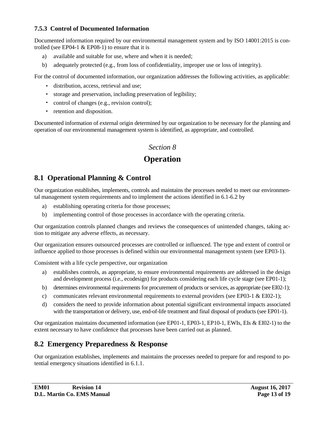#### <span id="page-12-0"></span>**7.5.3 Control of Documented Information**

Documented information required by our environmental management system and by ISO 14001:2015 is controlled (see EP04-1  $&$  EP08-1) to ensure that it is

- a) available and suitable for use, where and when it is needed;
- b) adequately protected (e.g., from loss of confidentiality, improper use or loss of integrity).

For the control of documented information, our organization addresses the following activities, as applicable:

- distribution, access, retrieval and use;
- storage and preservation, including preservation of legibility;
- control of changes (e.g., revision control);
- retention and disposition.

Documented information of external origin determined by our organization to be necessary for the planning and operation of our environmental management system is identified, as appropriate, and controlled.

#### *Section 8*

# **Operation**

# **8.1 Operational Planning & Control**

Our organization establishes, implements, controls and maintains the processes needed to meet our environmental management system requirements and to implement the actions identified in [6.1](#page-7-0)[-6.2](#page-9-0) by

- a) establishing operating criteria for those processes;
- b) implementing control of those processes in accordance with the operating criteria.

Our organization controls planned changes and reviews the consequences of unintended changes, taking action to mitigate any adverse effects, as necessary.

Our organization ensures outsourced processes are controlled or influenced. The type and extent of control or influence applied to those processes is defined within our environmental management system (see EP03-1).

Consistent with a life cycle perspective, our organization

- a) establishes controls, as appropriate, to ensure environmental requirements are addressed in the design and development process (i.e., ecodesign) for products considering each life cycle stage (see EP01-1);
- b) determines environmental requirements for procurement of products or services, as appropriate (see EI02-1);
- c) communicates relevant environmental requirements to external providers (see EP03-1  $\&$  EI02-1);
- d) considers the need to provide information about potential significant environmental impacts associated with the transportation or delivery, use, end-of-life treatment and final disposal of products (see EP01-1).

Our organization maintains documented information (see EP01-1, EP03-1, EP10-1, EWIs, EIs & EI02-1) to the extent necessary to have confidence that processes have been carried out as planned.

#### **8.2 Emergency Preparedness & Response**

Our organization establishes, implements and maintains the processes needed to prepare for and respond to potential emergency situations identified in [6.1.1](#page-7-0).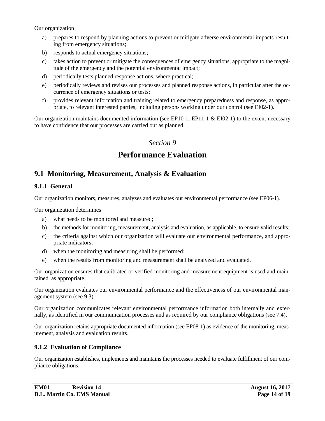<span id="page-13-0"></span>Our organization

- a) prepares to respond by planning actions to prevent or mitigate adverse environmental impacts resulting from emergency situations;
- b) responds to actual emergency situations;
- c) takes action to prevent or mitigate the consequences of emergency situations, appropriate to the magnitude of the emergency and the potential environmental impact;
- d) periodically tests planned response actions, where practical;
- e) periodically reviews and revises our processes and planned response actions, in particular after the occurrence of emergency situations or tests;
- f) provides relevant information and training related to emergency preparedness and response, as appropriate, to relevant interested parties, including persons working under our control (see EI02-1).

Our organization maintains documented information (see EP10-1, EP11-1  $\&$  EI02-1) to the extent necessary to have confidence that our processes are carried out as planned.

#### *Section 9*

# **Performance Evaluation**

#### **9.1 Monitoring, Measurement, Analysis & Evaluation**

#### **9.1.1 General**

Our organization monitors, measures, analyzes and evaluates our environmental performance (see EP06-1).

Our organization determines

- a) what needs to be monitored and measured;
- b) the methods for monitoring, measurement, analysis and evaluation, as applicable, to ensure valid results;
- c) the criteria against which our organization will evaluate our environmental performance, and appropriate indicators;
- d) when the monitoring and measuring shall be performed;
- e) when the results from monitoring and measurement shall be analyzed and evaluated.

Our organization ensures that calibrated or verified monitoring and measurement equipment is used and maintained, as appropriate.

Our organization evaluates our environmental performance and the effectiveness of our environmental management system [\(see 9.3\)](#page-14-0).

Our organization communicates relevant environmental performance information both internally and externally, as identified in our communication processes and as required by our compliance obligations [\(see 7.4\).](#page-10-0)

Our organization retains appropriate documented information (see EP08-1) as evidence of the monitoring, measurement, analysis and evaluation results.

#### **9.1.2 Evaluation of Compliance**

Our organization establishes, implements and maintains the processes needed to evaluate fulfillment of our compliance obligations.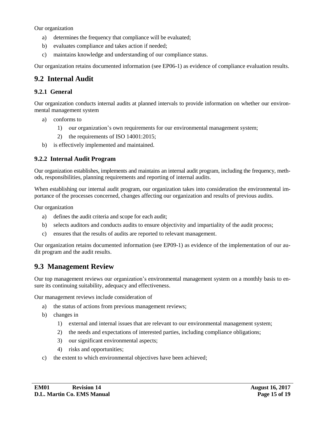<span id="page-14-0"></span>Our organization

- a) determines the frequency that compliance will be evaluated;
- b) evaluates compliance and takes action if needed;
- c) maintains knowledge and understanding of our compliance status.

Our organization retains documented information (see EP06-1) as evidence of compliance evaluation results.

#### **9.2 Internal Audit**

#### **9.2.1 General**

Our organization conducts internal audits at planned intervals to provide information on whether our environmental management system

- a) conforms to
	- 1) our organization's own requirements for our environmental management system;
	- 2) the requirements of ISO 14001:2015;
- b) is effectively implemented and maintained.

#### **9.2.2 Internal Audit Program**

Our organization establishes, implements and maintains an internal audit program, including the frequency, methods, responsibilities, planning requirements and reporting of internal audits.

When establishing our internal audit program, our organization takes into consideration the environmental importance of the processes concerned, changes affecting our organization and results of previous audits.

Our organization

- a) defines the audit criteria and scope for each audit;
- b) selects auditors and conducts audits to ensure objectivity and impartiality of the audit process;
- c) ensures that the results of audits are reported to relevant management.

Our organization retains documented information (see EP09-1) as evidence of the implementation of our audit program and the audit results.

#### **9.3 Management Review**

Our top management reviews our organization's environmental management system on a monthly basis to ensure its continuing suitability, adequacy and effectiveness.

Our management reviews include consideration of

- a) the status of actions from previous management reviews;
- b) changes in
	- 1) external and internal issues that are relevant to our environmental management system;
	- 2) the needs and expectations of interested parties, including compliance obligations;
	- 3) our significant environmental aspects;
	- 4) risks and opportunities;
- c) the extent to which environmental objectives have been achieved;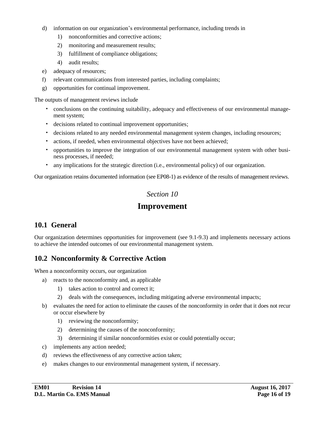- <span id="page-15-0"></span>d) information on our organization's environmental performance, including trends in
	- 1) nonconformities and corrective actions;
	- 2) monitoring and measurement results;
	- 3) fulfillment of compliance obligations;
	- 4) audit results;
- e) adequacy of resources;
- f) relevant communications from interested parties, including complaints;
- g) opportunities for continual improvement.

The outputs of management reviews include

- conclusions on the continuing suitability, adequacy and effectiveness of our environmental management system;
- decisions related to continual improvement opportunities;
- decisions related to any needed environmental management system changes, including resources;
- actions, if needed, when environmental objectives have not been achieved;
- opportunities to improve the integration of our environmental management system with other business processes, if needed;
- any implications for the strategic direction (i.e., environmental policy) of our organization.

Our organization retains documented information (see EP08-1) as evidence of the results of management reviews.

#### *Section 10*

#### **Improvement**

#### **10.1 General**

Our organization determines opportunities for improvement [\(see 9.1-9.3\)](#page-13-0) and implements necessary actions to achieve the intended outcomes of our environmental management system.

#### **10.2 Nonconformity & Corrective Action**

When a nonconformity occurs, our organization

- a) reacts to the nonconformity and, as applicable
	- 1) takes action to control and correct it;
	- 2) deals with the consequences, including mitigating adverse environmental impacts;
- b) evaluates the need for action to eliminate the causes of the nonconformity in order that it does not recur or occur elsewhere by
	- 1) reviewing the nonconformity;
	- 2) determining the causes of the nonconformity;
	- 3) determining if similar nonconformities exist or could potentially occur;
- c) implements any action needed;
- d) reviews the effectiveness of any corrective action taken;
- e) makes changes to our environmental management system, if necessary.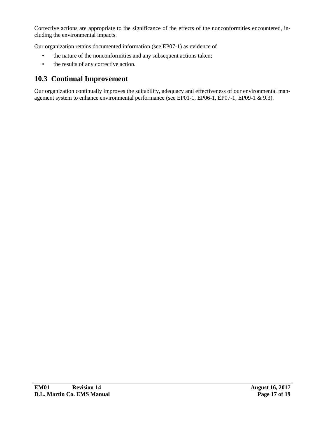<span id="page-16-0"></span>Corrective actions are appropriate to the significance of the effects of the nonconformities encountered, including the environmental impacts.

Our organization retains documented information (see EP07-1) as evidence of

- the nature of the nonconformities and any subsequent actions taken;
- the results of any corrective action.

#### **10.3 Continual Improvement**

Our organization continually improves the suitability, adequacy and effectiveness of our environmental management system to enhance environmental performance (see EP01-1, EP06-1, EP07-1, EP09-1 & [9.3\)](#page-14-0).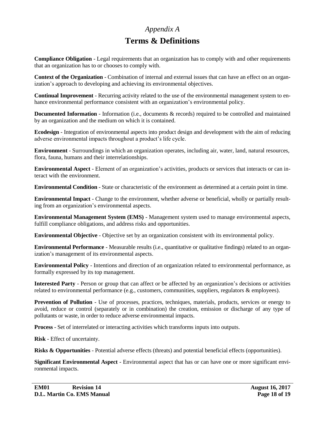#### *Appendix A*

# **Terms & Definitions**

<span id="page-17-0"></span>**Compliance Obligation** - Legal requirements that an organization has to comply with and other requirements that an organization has to or chooses to comply with.

**Context of the Organization** - Combination of internal and external issues that can have an effect on an organization's approach to developing and achieving its environmental objectives.

**Continual Improvement** - Recurring activity related to the use of the environmental management system to enhance environmental performance consistent with an organization's environmental policy.

**Documented Information** - Information (i.e., documents & records) required to be controlled and maintained by an organization and the medium on which it is contained.

**Ecodesign** - Integration of environmental aspects into product design and development with the aim of reducing adverse environmental impacts throughout a product's life cycle.

**Environment** - Surroundings in which an organization operates, including air, water, land, natural resources, flora, fauna, humans and their interrelationships.

**Environmental Aspect** - Element of an organization's activities, products or services that interacts or can interact with the environment.

**Environmental Condition** - State or characteristic of the environment as determined at a certain point in time.

**Environmental Impact** - Change to the environment, whether adverse or beneficial, wholly or partially resulting from an organization's environmental aspects.

**Environmental Management System (EMS)** - Management system used to manage environmental aspects, fulfill compliance obligations, and address risks and opportunities.

**Environmental Objective** - Objective set by an organization consistent with its environmental policy.

**Environmental Performance** - Measurable results (i.e., quantitative or qualitative findings) related to an organization's management of its environmental aspects.

**Environmental Policy** - Intentions and direction of an organization related to environmental performance, as formally expressed by its top management.

**Interested Party** - Person or group that can affect or be affected by an organization's decisions or activities related to environmental performance (e.g., customers, communities, suppliers, regulators & employees).

**Prevention of Pollution** - Use of processes, practices, techniques, materials, products, services or energy to avoid, reduce or control (separately or in combination) the creation, emission or discharge of any type of pollutants or waste, in order to reduce adverse environmental impacts.

**Process** - Set of interrelated or interacting activities which transforms inputs into outputs.

**Risk** - Effect of uncertainty.

**Risks & Opportunities** - Potential adverse effects (threats) and potential beneficial effects (opportunities).

**Significant Environmental Aspect** - Environmental aspect that has or can have one or more significant environmental impacts.